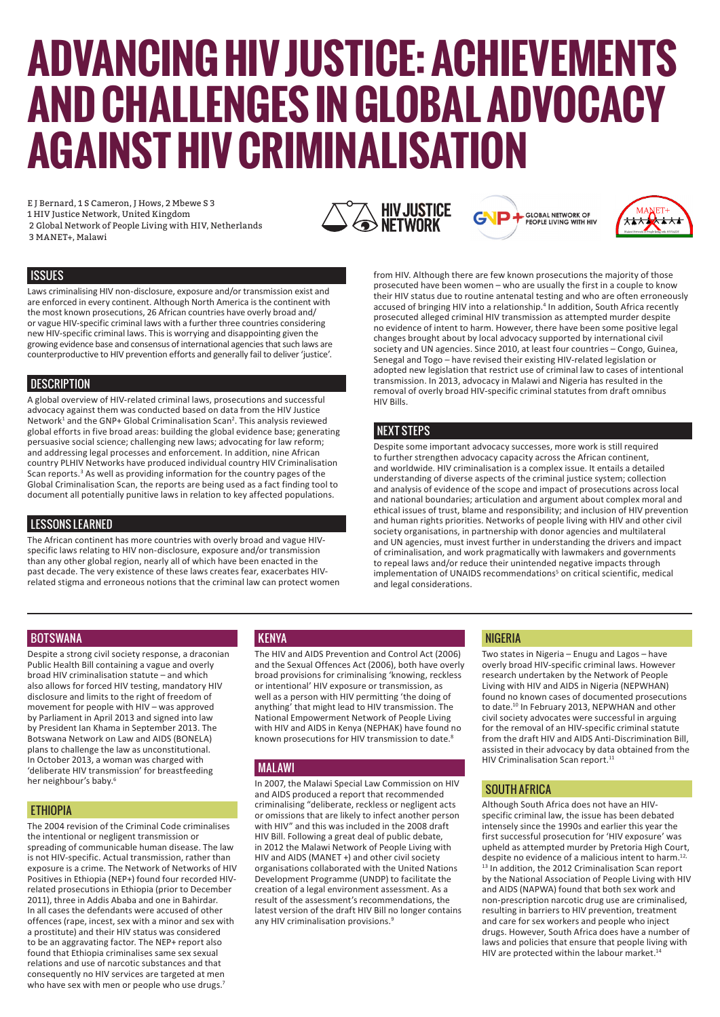# **ADVANCING HIV JUSTICE: ACHIEVEMENTS AND CHALLENGES IN GLOBAL ADVOCACY AGAINST HIV CRIMINALISATION**

E J Bernard, 1 S Cameron, J Hows, 2 Mbewe S 3 1 HIV Justice Network, United Kingdom 2 Global Network of People Living with HIV, Netherlands

3 MANET+, Malawi







from HIV. Although there are few known prosecutions the majority of those prosecuted have been women – who are usually the first in a couple to know their HIV status due to routine antenatal testing and who are often erroneously accused of bringing HIV into a relationship.<sup>4</sup> In addition, South Africa recently prosecuted alleged criminal HIV transmission as attempted murder despite no evidence of intent to harm. However, there have been some positive legal changes brought about by local advocacy supported by international civil society and UN agencies. Since 2010, at least four countries – Congo, Guinea, Senegal and Togo – have revised their existing HIV-related legislation or adopted new legislation that restrict use of criminal law to cases of intentional transmission. In 2013, advocacy in Malawi and Nigeria has resulted in the removal of overly broad HIV-specific criminal statutes from draft omnibus HIV Bills.

#### **NEXT STEPS**

Despite some important advocacy successes, more work is still required to further strengthen advocacy capacity across the African continent, and worldwide. HIV criminalisation is a complex issue. It entails a detailed understanding of diverse aspects of the criminal justice system; collection and analysis of evidence of the scope and impact of prosecutions across local and national boundaries; articulation and argument about complex moral and ethical issues of trust, blame and responsibility; and inclusion of HIV prevention and human rights priorities. Networks of people living with HIV and other civil society organisations, in partnership with donor agencies and multilateral and UN agencies, must invest further in understanding the drivers and impact of criminalisation, and work pragmatically with lawmakers and governments to repeal laws and/or reduce their unintended negative impacts through implementation of UNAIDS recommendations<sup>5</sup> on critical scientific, medical and legal considerations.

# **ISSUES**

Laws criminalising HIV non-disclosure, exposure and/or transmission exist and are enforced in every continent. Although North America is the continent with the most known prosecutions, 26 African countries have overly broad and/ or vague HIV-specific criminal laws with a further three countries considering new HIV-specific criminal laws. This is worrying and disappointing given the growing evidence base and consensus of international agencies that such laws are counterproductive to HIV prevention efforts and generally fail to deliver 'justice'.

# **DESCRIPTION**

A global overview of HIV-related criminal laws, prosecutions and successful advocacy against them was conducted based on data from the HIV Justice Network<sup>1</sup> and the GNP+ Global Criminalisation Scan<sup>2</sup>. This analysis reviewed global efforts in five broad areas: building the global evidence base; generating persuasive social science; challenging new laws; advocating for law reform; and addressing legal processes and enforcement. In addition, nine African country PLHIV Networks have produced individual country HIV Criminalisation Scan reports.<sup>3</sup> As well as providing information for the country pages of the Global Criminalisation Scan, the reports are being used as a fact finding tool to document all potentially punitive laws in relation to key affected populations.

# LESSONS LEARNED

The African continent has more countries with overly broad and vague HIVspecific laws relating to HIV non-disclosure, exposure and/or transmission than any other global region, nearly all of which have been enacted in the past decade. The very existence of these laws creates fear, exacerbates HIVrelated stigma and erroneous notions that the criminal law can protect women

#### **BOTSWANA**

Despite a strong civil society response, a draconian Public Health Bill containing a vague and overly broad HIV criminalisation statute – and which also allows for forced HIV testing, mandatory HIV disclosure and limits to the right of freedom of movement for people with HIV – was approved by Parliament in April 2013 and signed into law by President Ian Khama in September 2013. The Botswana Network on Law and AIDS (BONELA) plans to challenge the law as unconstitutional. In October 2013, a woman was charged with 'deliberate HIV transmission' for breastfeeding her neighbour's baby.6

#### **ETHIOPIA**

The 2004 revision of the Criminal Code criminalises the intentional or negligent transmission or spreading of communicable human disease. The law is not HIV-specific. Actual transmission, rather than exposure is a crime. The Network of Networks of HIV Positives in Ethiopia (NEP+) found four recorded HIVrelated prosecutions in Ethiopia (prior to December 2011), three in Addis Ababa and one in Bahirdar. In all cases the defendants were accused of other offences (rape, incest, sex with a minor and sex with a prostitute) and their HIV status was considered to be an aggravating factor. The NEP+ report also found that Ethiopia criminalises same sex sexual relations and use of narcotic substances and that consequently no HIV services are targeted at men who have sex with men or people who use drugs.<sup>7</sup>

# **KENYA**

The HIV and AIDS Prevention and Control Act (2006) and the Sexual Offences Act (2006), both have overly broad provisions for criminalising 'knowing, reckless or intentional' HIV exposure or transmission, as well as a person with HIV permitting 'the doing of anything' that might lead to HIV transmission. The National Empowerment Network of People Living with HIV and AIDS in Kenya (NEPHAK) have found no known prosecutions for HIV transmission to date.<sup>8</sup>

#### MALAWI

In 2007, the Malawi Special Law Commission on HIV and AIDS produced a report that recommended criminalising "deliberate, reckless or negligent acts or omissions that are likely to infect another person with HIV" and this was included in the 2008 draft HIV Bill. Following a great deal of public debate, in 2012 the Malawi Network of People Living with HIV and AIDS (MANET +) and other civil society organisations collaborated with the United Nations Development Programme (UNDP) to facilitate the creation of a legal environment assessment. As a result of the assessment's recommendations, the latest version of the draft HIV Bill no longer contains any HIV criminalisation provisions.<sup>9</sup>

# NIGERIA

Two states in Nigeria – Enugu and Lagos – have overly broad HIV-specific criminal laws. However research undertaken by the Network of People Living with HIV and AIDS in Nigeria (NEPWHAN) found no known cases of documented prosecutions to date.<sup>10</sup> In February 2013, NEPWHAN and other civil society advocates were successful in arguing for the removal of an HIV-specific criminal statute from the draft HIV and AIDS Anti-Discrimination Bill, assisted in their advocacy by data obtained from the HIV Criminalisation Scan report.<sup>11</sup>

#### SOUTH AFRICA

Although South Africa does not have an HIVspecific criminal law, the issue has been debated intensely since the 1990s and earlier this year the first successful prosecution for 'HIV exposure' was upheld as attempted murder by Pretoria High Court, despite no evidence of a malicious intent to harm.<sup>12,</sup> <sup>13</sup> In addition, the 2012 Criminalisation Scan report by the National Association of People Living with HIV and AIDS (NAPWA) found that both sex work and non-prescription narcotic drug use are criminalised, resulting in barriers to HIV prevention, treatment and care for sex workers and people who inject drugs. However, South Africa does have a number of laws and policies that ensure that people living with HIV are protected within the labour market.<sup>14</sup>